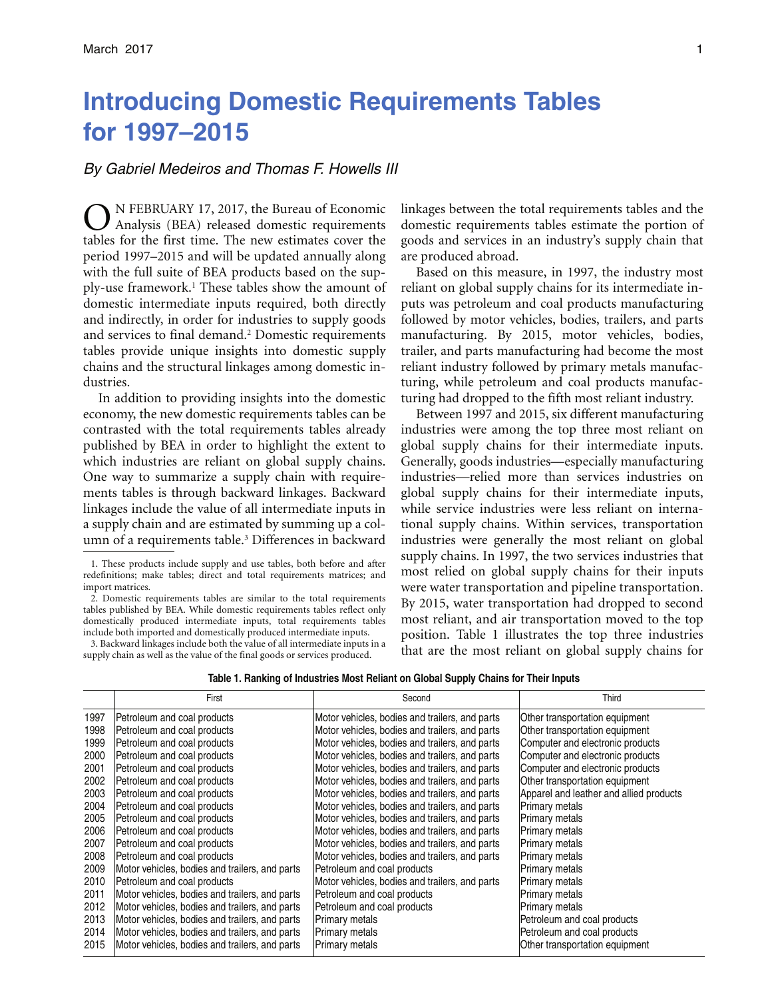# **Introducing Domestic Requirements Tables for 1997–2015**

## *By Gabriel Medeiros and Thomas F. Howells III*

N FEBRUARY 17, 2017, the Bureau of Economic Analysis (BEA) released domestic requirements tables for the first time. The new estimates cover the period 1997–2015 and will be updated annually along with the full suite of BEA products based on the supply-use framework.1 These tables show the amount of domestic intermediate inputs required, both directly and indirectly, in order for industries to supply goods and services to final demand.2 Domestic requirements tables provide unique insights into domestic supply chains and the structural linkages among domestic industries.

 In addition to providing insights into the domestic economy, the new domestic requirements tables can be contrasted with the total requirements tables already published by BEA in order to highlight the extent to which industries are reliant on global supply chains. One way to summarize a supply chain with requirements tables is through backward linkages. Backward linkages include the value of all intermediate inputs in a supply chain and are estimated by summing up a column of a requirements table.<sup>3</sup> Differences in backward

2. Domestic requirements tables are similar to the total requirements tables published by BEA. While domestic requirements tables reflect only domestically produced intermediate inputs, total requirements tables include both imported and domestically produced intermediate inputs.

 supply chain as well as the value of the final goods or services produced. 3. Backward linkages include both the value of all intermediate inputs in a linkages between the total requirements tables and the domestic requirements tables estimate the portion of goods and services in an industry's supply chain that are produced abroad.

Based on this measure, in 1997, the industry most reliant on global supply chains for its intermediate inputs was petroleum and coal products manufacturing followed by motor vehicles, bodies, trailers, and parts manufacturing. By 2015, motor vehicles, bodies, trailer, and parts manufacturing had become the most reliant industry followed by primary metals manufacturing, while petroleum and coal products manufacturing had dropped to the fifth most reliant industry.

 industries were generally the most reliant on global Between 1997 and 2015, six different manufacturing industries were among the top three most reliant on global supply chains for their intermediate inputs. Generally, goods industries—especially manufacturing industries—relied more than services industries on global supply chains for their intermediate inputs, while service industries were less reliant on international supply chains. Within services, transportation supply chains. In 1997, the two services industries that most relied on global supply chains for their inputs were water transportation and pipeline transportation. By 2015, water transportation had dropped to second most reliant, and air transportation moved to the top position. Table 1 illustrates the top three industries that are the most reliant on global supply chains for

|      | First                                          | Second                                         | Third                                   |
|------|------------------------------------------------|------------------------------------------------|-----------------------------------------|
| 1997 | Petroleum and coal products                    | Motor vehicles, bodies and trailers, and parts | Other transportation equipment          |
| 1998 | Petroleum and coal products                    | Motor vehicles, bodies and trailers, and parts | Other transportation equipment          |
| 1999 | Petroleum and coal products                    | Motor vehicles, bodies and trailers, and parts | Computer and electronic products        |
| 2000 | Petroleum and coal products                    | Motor vehicles, bodies and trailers, and parts | Computer and electronic products        |
| 2001 | Petroleum and coal products                    | Motor vehicles, bodies and trailers, and parts | Computer and electronic products        |
| 2002 | Petroleum and coal products                    | Motor vehicles, bodies and trailers, and parts | Other transportation equipment          |
| 2003 | Petroleum and coal products                    | Motor vehicles, bodies and trailers, and parts | Apparel and leather and allied products |
| 2004 | Petroleum and coal products                    | Motor vehicles, bodies and trailers, and parts | Primary metals                          |
| 2005 | Petroleum and coal products                    | Motor vehicles, bodies and trailers, and parts | <b>Primary metals</b>                   |
| 2006 | Petroleum and coal products                    | Motor vehicles, bodies and trailers, and parts | <b>Primary metals</b>                   |
| 2007 | Petroleum and coal products                    | Motor vehicles, bodies and trailers, and parts | Primary metals                          |
| 2008 | Petroleum and coal products                    | Motor vehicles, bodies and trailers, and parts | <b>Primary metals</b>                   |
| 2009 | Motor vehicles, bodies and trailers, and parts | Petroleum and coal products                    | <b>Primary metals</b>                   |
| 2010 | Petroleum and coal products                    | Motor vehicles, bodies and trailers, and parts | Primary metals                          |
| 2011 | Motor vehicles, bodies and trailers, and parts | Petroleum and coal products                    | <b>Primary metals</b>                   |
| 2012 | Motor vehicles, bodies and trailers, and parts | Petroleum and coal products                    | Primary metals                          |
| 2013 | Motor vehicles, bodies and trailers, and parts | <b>Primary metals</b>                          | Petroleum and coal products             |
| 2014 | Motor vehicles, bodies and trailers, and parts | Primary metals                                 | Petroleum and coal products             |
| 2015 | Motor vehicles, bodies and trailers, and parts | <b>Primary metals</b>                          | Other transportation equipment          |

 redefinitions; make tables; direct and total requirements matrices; and 1. These products include supply and use tables, both before and after import matrices.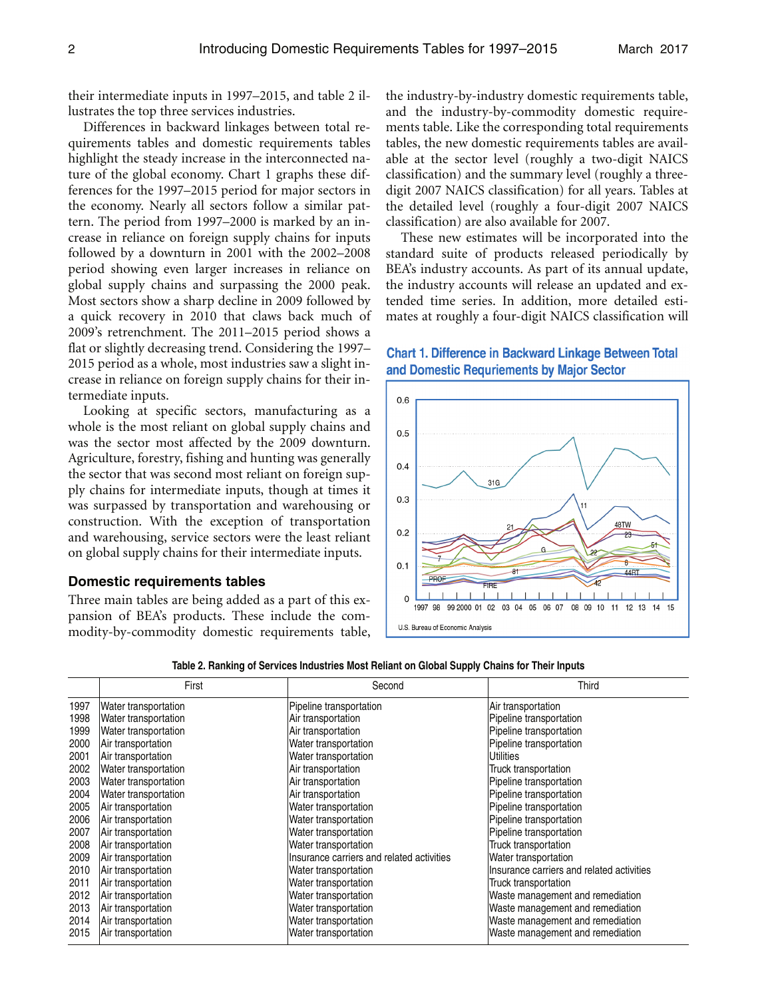their intermediate inputs in 1997–2015, and table 2 illustrates the top three services industries.

 highlight the steady increase in the interconnected na-Differences in backward linkages between total requirements tables and domestic requirements tables ture of the global economy. Chart 1 graphs these differences for the 1997–2015 period for major sectors in the economy. Nearly all sectors follow a similar pattern. The period from 1997–2000 is marked by an increase in reliance on foreign supply chains for inputs followed by a downturn in 2001 with the 2002–2008 period showing even larger increases in reliance on global supply chains and surpassing the 2000 peak. Most sectors show a sharp decline in 2009 followed by a quick recovery in 2010 that claws back much of 2009's retrenchment. The 2011–2015 period shows a flat or slightly decreasing trend. Considering the 1997– 2015 period as a whole, most industries saw a slight increase in reliance on foreign supply chains for their intermediate inputs.

Looking at specific sectors, manufacturing as a whole is the most reliant on global supply chains and was the sector most affected by the 2009 downturn. Agriculture, forestry, fishing and hunting was generally the sector that was second most reliant on foreign supply chains for intermediate inputs, though at times it was surpassed by transportation and warehousing or construction. With the exception of transportation and warehousing, service sectors were the least reliant on global supply chains for their intermediate inputs.

#### **Domestic requirements tables**

Three main tables are being added as a part of this expansion of BEA's products. These include the commodity-by-commodity domestic requirements table, the industry-by-industry domestic requirements table, and the industry-by-commodity domestic requirements table. Like the corresponding total requirements tables, the new domestic requirements tables are available at the sector level (roughly a two-digit NAICS classification) and the summary level (roughly a threedigit 2007 NAICS classification) for all years. Tables at the detailed level (roughly a four-digit 2007 NAICS classification) are also available for 2007.

These new estimates will be incorporated into the standard suite of products released periodically by BEA's industry accounts. As part of its annual update, the industry accounts will release an updated and extended time series. In addition, more detailed estimates at roughly a four-digit NAICS classification will

## **Chart 1. Difference in Backward Linkage Between Total** and Domestic Requriements by Maior Sector



|      | First                | Second                                    | Third                                     |
|------|----------------------|-------------------------------------------|-------------------------------------------|
| 1997 | Water transportation | Pipeline transportation                   | Air transportation                        |
| 1998 | Water transportation | Air transportation                        | Pipeline transportation                   |
| 1999 | Water transportation | Air transportation                        | Pipeline transportation                   |
| 2000 | Air transportation   | Water transportation                      | Pipeline transportation                   |
| 2001 | Air transportation   | Water transportation                      | Utilities                                 |
| 2002 | Water transportation | Air transportation                        | Truck transportation                      |
| 2003 | Water transportation | Air transportation                        | Pipeline transportation                   |
| 2004 | Water transportation | Air transportation                        | Pipeline transportation                   |
| 2005 | Air transportation   | Water transportation                      | Pipeline transportation                   |
| 2006 | Air transportation   | Water transportation                      | Pipeline transportation                   |
| 2007 | Air transportation   | Water transportation                      | Pipeline transportation                   |
| 2008 | Air transportation   | Water transportation                      | Truck transportation                      |
| 2009 | Air transportation   | Insurance carriers and related activities | Water transportation                      |
| 2010 | Air transportation   | Water transportation                      | Insurance carriers and related activities |
| 2011 | Air transportation   | Water transportation                      | Truck transportation                      |
| 2012 | Air transportation   | Water transportation                      | Waste management and remediation          |
| 2013 | Air transportation   | Water transportation                      | Waste management and remediation          |
| 2014 | Air transportation   | Water transportation                      | Waste management and remediation          |
| 2015 | Air transportation   | Water transportation                      | Waste management and remediation          |

**Table 2. Ranking of Services Industries Most Reliant on Global Supply Chains for Their Inputs**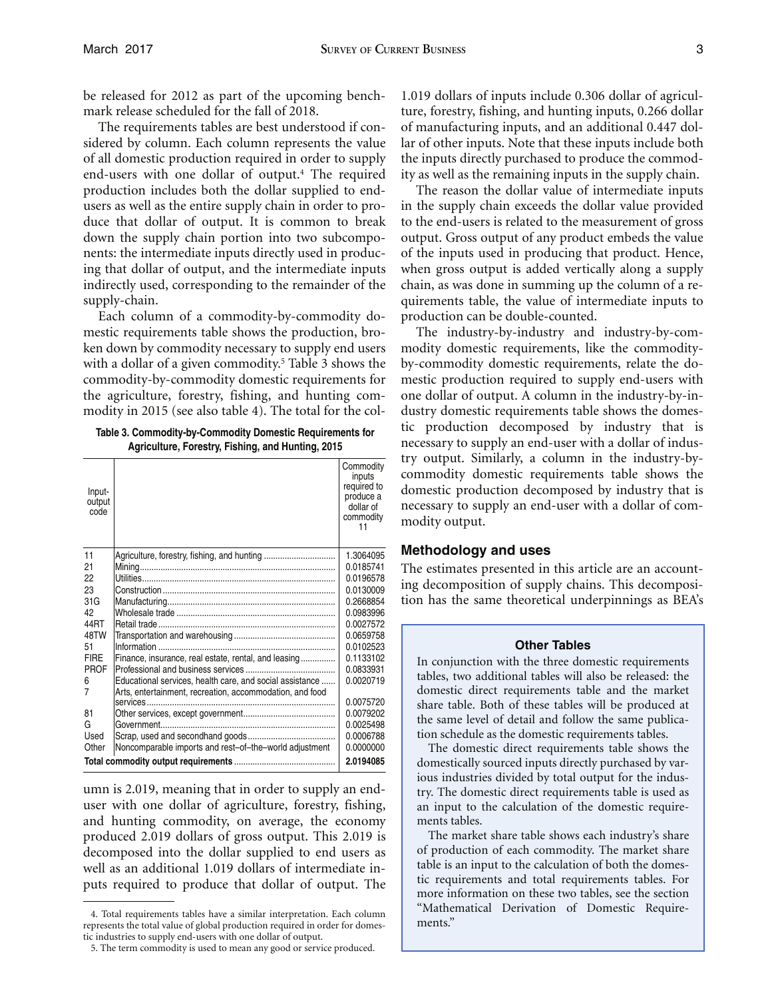be released for 2012 as part of the upcoming benchmark release scheduled for the fall of 2018.

 users as well as the entire supply chain in order to pro-The requirements tables are best understood if considered by column. Each column represents the value of all domestic production required in order to supply end-users with one dollar of output.4 The required production includes both the dollar supplied to endduce that dollar of output. It is common to break down the supply chain portion into two subcomponents: the intermediate inputs directly used in producing that dollar of output, and the intermediate inputs indirectly used, corresponding to the remainder of the supply-chain.

Each column of a commodity-by-commodity domestic requirements table shows the production, broken down by commodity necessary to supply end users with a dollar of a given commodity.<sup>5</sup> Table 3 shows the commodity-by-commodity domestic requirements for the agriculture, forestry, fishing, and hunting commodity in 2015 (see also table 4). The total for the col-

**Table 3. Commodity-by-Commodity Domestic Requirements for Agriculture, Forestry, Fishing, and Hunting, 2015** 

| Input-<br>output<br>code |                                                          | Commodity<br>inputs<br>required to<br>produce a<br>dollar of<br>commodity<br>11 |
|--------------------------|----------------------------------------------------------|---------------------------------------------------------------------------------|
| 11                       | Agriculture, forestry, fishing, and hunting              | 1.3064095                                                                       |
| 21                       |                                                          | 0.0185741                                                                       |
| 22                       |                                                          | 0.0196578                                                                       |
| 23                       |                                                          | 0.0130009                                                                       |
| 31G                      |                                                          | 0.2668854                                                                       |
| 42                       |                                                          | 0.0983996                                                                       |
| 44RT                     |                                                          | 0.0027572                                                                       |
| 48TW                     |                                                          | 0.0659758                                                                       |
| 51                       |                                                          | 0.0102523                                                                       |
| <b>FIRE</b>              | Finance, insurance, real estate, rental, and leasing     | 0.1133102                                                                       |
| <b>PROF</b>              |                                                          | 0.0833931                                                                       |
| 6                        | Educational services, health care, and social assistance | 0.0020719                                                                       |
| 7                        | Arts, entertainment, recreation, accommodation, and food |                                                                                 |
|                          |                                                          | 0.0075720                                                                       |
| 81                       |                                                          | 0.0079202                                                                       |
| G                        |                                                          | 0.0025498                                                                       |
| Used                     |                                                          | 0.0006788                                                                       |
| Other                    | Noncomparable imports and rest-of-the-world adjustment   | 0.0000000                                                                       |
|                          |                                                          | 2.0194085                                                                       |

 umn is 2.019, meaning that in order to supply an end- puts required to produce that dollar of output. The user with one dollar of agriculture, forestry, fishing, and hunting commodity, on average, the economy produced 2.019 dollars of gross output. This 2.019 is decomposed into the dollar supplied to end users as well as an additional 1.019 dollars of intermediate in ity as well as the remaining inputs in the supply chain. 1.019 dollars of inputs include 0.306 dollar of agriculture, forestry, fishing, and hunting inputs, 0.266 dollar of manufacturing inputs, and an additional 0.447 dollar of other inputs. Note that these inputs include both the inputs directly purchased to produce the commod-

The reason the dollar value of intermediate inputs in the supply chain exceeds the dollar value provided to the end-users is related to the measurement of gross output. Gross output of any product embeds the value of the inputs used in producing that product. Hence, when gross output is added vertically along a supply chain, as was done in summing up the column of a requirements table, the value of intermediate inputs to production can be double-counted.

The industry-by-industry and industry-by-commodity domestic requirements, like the commodityby-commodity domestic requirements, relate the domestic production required to supply end-users with one dollar of output. A column in the industry-by-industry domestic requirements table shows the domestic production decomposed by industry that is necessary to supply an end-user with a dollar of industry output. Similarly, a column in the industry-bycommodity domestic requirements table shows the domestic production decomposed by industry that is necessary to supply an end-user with a dollar of commodity output.

## **Methodology and uses**

The estimates presented in this article are an accounting decomposition of supply chains. This decomposition has the same theoretical underpinnings as BEA's

#### **Other Tables**

In conjunction with the three domestic requirements tables, two additional tables will also be released: the domestic direct requirements table and the market share table. Both of these tables will be produced at the same level of detail and follow the same publication schedule as the domestic requirements tables.

 try. The domestic direct requirements table is used as The domestic direct requirements table shows the domestically sourced inputs directly purchased by various industries divided by total output for the indusan input to the calculation of the domestic requirements tables.

 table is an input to the calculation of both the domes-The market share table shows each industry's share of production of each commodity. The market share tic requirements and total requirements tables. For more information on these two tables, see the section "Mathematical Derivation of Domestic Requirements."

 tic industries to supply end-users with one dollar of output. 4. Total requirements tables have a similar interpretation. Each column represents the total value of global production required in order for domes-

<sup>5.</sup> The term commodity is used to mean any good or service produced.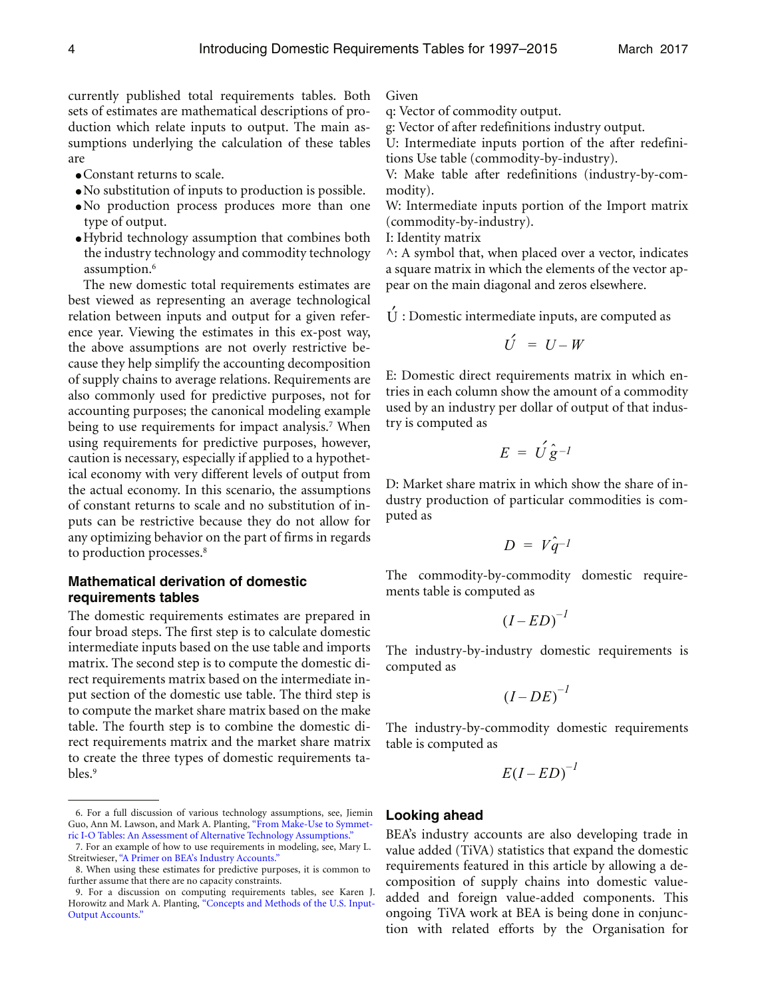currently published total requirements tables. Both sets of estimates are mathematical descriptions of production which relate inputs to output. The main assumptions underlying the calculation of these tables are

- Constant returns to scale.
- No substitution of inputs to production is possible.
- No production process produces more than one type of output.
- Hybrid technology assumption that combines both the industry technology and commodity technology assumption.<sup>6</sup>

The new domestic total requirements estimates are best viewed as representing an average technological relation between inputs and output for a given reference year. Viewing the estimates in this ex-post way, the above assumptions are not overly restrictive because they help simplify the accounting decomposition of supply chains to average relations. Requirements are also commonly used for predictive purposes, not for accounting purposes; the canonical modeling example being to use requirements for impact analysis.<sup>7</sup> When using requirements for predictive purposes, however, caution is necessary, especially if applied to a hypothetical economy with very different levels of output from the actual economy. In this scenario, the assumptions of constant returns to scale and no substitution of inputs can be restrictive because they do not allow for any optimizing behavior on the part of firms in regards to production processes.<sup>8</sup>

## **Mathematical derivation of domestic requirements tables**

The domestic requirements estimates are prepared in four broad steps. The first step is to calculate domestic intermediate inputs based on the use table and imports matrix. The second step is to compute the domestic direct requirements matrix based on the intermediate input section of the domestic use table. The third step is to compute the market share matrix based on the make table. The fourth step is to combine the domestic direct requirements matrix and the market share matrix to create the three types of domestic requirements tables.9

Given

- q: Vector of commodity output.
- g: Vector of after redefinitions industry output.

U: Intermediate inputs portion of the after redefinitions Use table (commodity-by-industry).

V: Make table after redefinitions (industry-by-commodity).

W: Intermediate inputs portion of the Import matrix (commodity-by-industry).

I: Identity matrix

 a square matrix in which the elements of the vector ap- $\wedge$ : A symbol that, when placed over a vector, indicates pear on the main diagonal and zeros elsewhere.

 $\dot{U}$ : Domestic intermediate inputs, are computed as

$$
U = U - W
$$

 E: Domestic direct requirements matrix in which en- tries in each column show the amount of a commodity used by an industry per dollar of output of that industry is computed as

$$
E = U \hat{g}^{-1}
$$

D: Market share matrix in which show the share of industry production of particular commodities is computed as

$$
D = V \hat{q}^{-1}
$$

The commodity-by-commodity domestic requirements table is computed as

$$
(I - ED)^{-1}
$$

The industry-by-industry domestic requirements is computed as

$$
(I - DE)^{-1}
$$

The industry-by-commodity domestic requirements table is computed as

$$
E(I - ED)^{-1}
$$

#### **Looking ahead**

 ongoing TiVA work at BEA is being done in conjunc-BEA's industry accounts are also developing trade in value added (TiVA) statistics that expand the domestic requirements featured in this article by allowing a decomposition of supply chains into domestic valueadded and foreign value-added components. This tion with related efforts by the Organisation for

<sup>6.</sup> For a full discussion of various technology assumptions, see, Jiemin Guo, Ann M. Lawson, and Mark A. Planting, ["From Make-Use to Symmet](http://www.bea.gov/papers/pdf/alttechassump.pdf)ric I-O Tables: An Assessment of Alternative Technology Assumptions."

<sup>7.</sup> For an example of how to use requirements in modeling, see, Mary L. Streitwieser, "A Primer on [BEA's Industry Accounts."](https://www.bea.gov/industry/pdf/industry_primer.pdf)

<sup>8.</sup> When using these estimates for predictive purposes, it is common to further assume that there are no capacity constraints.

<sup>9.</sup> For a discussion on computing requirements tables, see Karen J. Horowitz and Mark A. Planting, ["Concepts and Methods of the U.S. Input](http://www.bea.gov/papers/pdf/IOmanual_092906.pdf)-[Output Accounts."](http://www.bea.gov/papers/pdf/IOmanual_092906.pdf)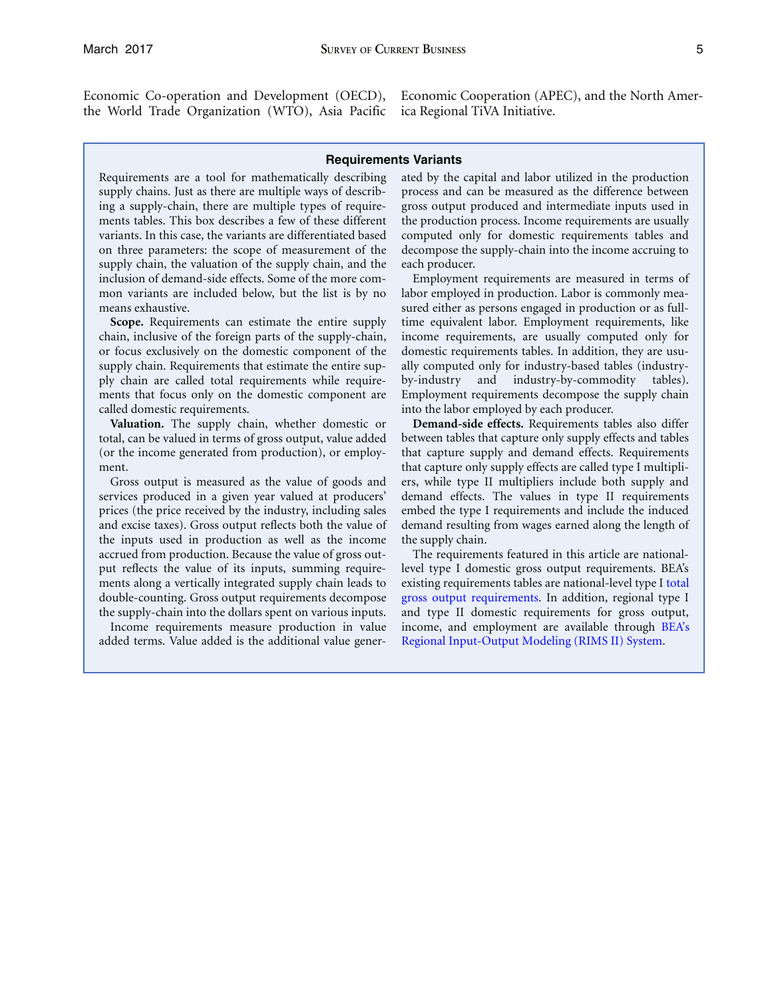the World Trade Organization (WTO), Asia Pacific ica Regional TiVA Initiative.

Economic Co-operation and Development (OECD), Economic Cooperation (APEC), and the North Amer-

#### **Requirements Variants**

supply chains. Just as there are multiple ways of describ- process and can be measured as the difference between ing a supply-chain, there are multiple types of require- gross output produced and intermediate inputs used in ments tables. This box describes a few of these different the production process. Income requirements are usually variants. In this case, the variants are differentiated based computed only for domestic requirements tables and on three parameters: the scope of measurement of the decompose the supply-chain into the income accruing to supply chain, the valuation of the supply chain, and the each producer. inclusion of demand-side effects. Some of the more com- Employment requirements are measured in terms of mon variants are included below, but the list is by no labor employed in production. Labor is commonly meameans exhaustive. Sured either as persons engaged in production or as full-

or focus exclusively on the domestic component of the domestic requirements tables. In addition, they are usucalled domestic requirements. into the labor employed by each producer.

the inputs used in production as well as the income the supply chain.<br>accrued from production. Because the value of gross out-<br>The requirements featured in this article are nationalaccrued from production. Because the value of gross outdouble-counting. Gross output requirements decompose [gross output requirements](https://www.bea.gov/industry/io_annual.htm). In addition, regional type I

added terms. Value added is the additional value gener- [Regional Input-Output Modeling \(RIMS II\) System](https://www.bea.gov/regional/rims/rimsii/).

Requirements are a tool for mathematically describing ated by the capital and labor utilized in the production

**Scope.** Requirements can estimate the entire supply time equivalent labor. Employment requirements, like chain, inclusive of the foreign parts of the supply-chain, income requirements, are usually computed only for supply chain. Requirements that estimate the entire sup- ally computed only for industry-based tables (industryply chain are called total requirements while require- by-industry and industry-by-commodity tables). ments that focus only on the domestic component are Employment requirements decompose the supply chain

**Valuation.** The supply chain, whether domestic or **Demand-side effects.** Requirements tables also differ total, can be valued in terms of gross output, value added between tables that capture only supply effects and tables (or the income generated from production), or employ- that capture supply and demand effects. Requirements ment. that capture only supply effects are called type I multipli-Gross output is measured as the value of goods and ers, while type II multipliers include both supply and services produced in a given year valued at producers' demand effects. The values in type II requirements prices (the price received by the industry, including sales embed the type I requirements and include the induced and excise taxes). Gross output reflects both the value of demand resulting from wages earned along the length of

put reflects the value of its inputs, summing require- level type I domestic gross output requirements. BEA's ments along a vertically integrated supply chain leads to existing requirements tables are national-level type I [total](https://www.bea.gov/industry/io_annual.htm) the supply-chain into the dollars spent on various inputs. and type II domestic requirements for gross output, Income requirements measure production in value income, and employment are available through [BEA's](https://www.bea.gov/regional/rims/rimsii/)